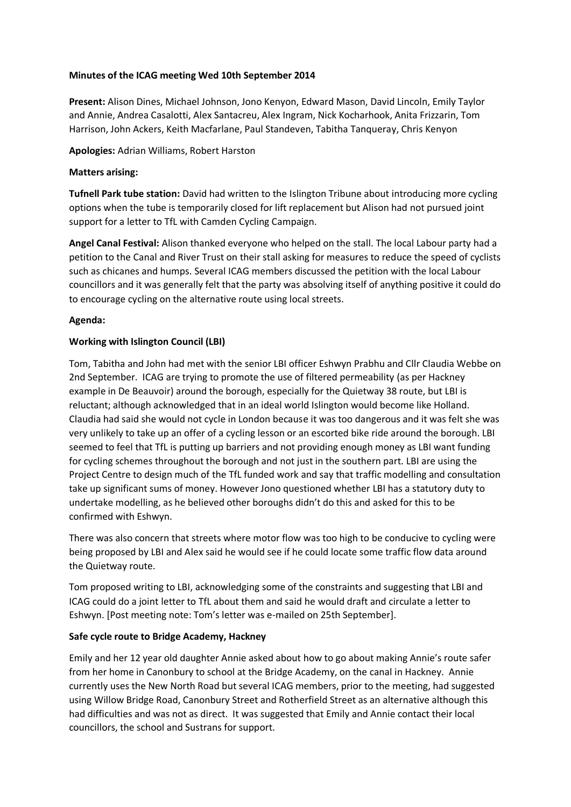## **Minutes of the ICAG meeting Wed 10th September 2014**

**Present:** Alison Dines, Michael Johnson, Jono Kenyon, Edward Mason, David Lincoln, Emily Taylor and Annie, Andrea Casalotti, Alex Santacreu, Alex Ingram, Nick Kocharhook, Anita Frizzarin, Tom Harrison, John Ackers, Keith Macfarlane, Paul Standeven, Tabitha Tanqueray, Chris Kenyon

**Apologies:** Adrian Williams, Robert Harston

#### **Matters arising:**

**Tufnell Park tube station:** David had written to the Islington Tribune about introducing more cycling options when the tube is temporarily closed for lift replacement but Alison had not pursued joint support for a letter to TfL with Camden Cycling Campaign.

**Angel Canal Festival:** Alison thanked everyone who helped on the stall. The local Labour party had a petition to the Canal and River Trust on their stall asking for measures to reduce the speed of cyclists such as chicanes and humps. Several ICAG members discussed the petition with the local Labour councillors and it was generally felt that the party was absolving itself of anything positive it could do to encourage cycling on the alternative route using local streets.

### **Agenda:**

### **Working with Islington Council (LBI)**

Tom, Tabitha and John had met with the senior LBI officer Eshwyn Prabhu and Cllr Claudia Webbe on 2nd September. ICAG are trying to promote the use of filtered permeability (as per Hackney example in De Beauvoir) around the borough, especially for the Quietway 38 route, but LBI is reluctant; although acknowledged that in an ideal world Islington would become like Holland. Claudia had said she would not cycle in London because it was too dangerous and it was felt she was very unlikely to take up an offer of a cycling lesson or an escorted bike ride around the borough. LBI seemed to feel that TfL is putting up barriers and not providing enough money as LBI want funding for cycling schemes throughout the borough and not just in the southern part. LBI are using the Project Centre to design much of the TfL funded work and say that traffic modelling and consultation take up significant sums of money. However Jono questioned whether LBI has a statutory duty to undertake modelling, as he believed other boroughs didn't do this and asked for this to be confirmed with Eshwyn.

There was also concern that streets where motor flow was too high to be conducive to cycling were being proposed by LBI and Alex said he would see if he could locate some traffic flow data around the Quietway route.

Tom proposed writing to LBI, acknowledging some of the constraints and suggesting that LBI and ICAG could do a joint letter to TfL about them and said he would draft and circulate a letter to Eshwyn. [Post meeting note: Tom's letter was e-mailed on 25th September].

# **Safe cycle route to Bridge Academy, Hackney**

Emily and her 12 year old daughter Annie asked about how to go about making Annie's route safer from her home in Canonbury to school at the Bridge Academy, on the canal in Hackney. Annie currently uses the New North Road but several ICAG members, prior to the meeting, had suggested using Willow Bridge Road, Canonbury Street and Rotherfield Street as an alternative although this had difficulties and was not as direct. It was suggested that Emily and Annie contact their local councillors, the school and Sustrans for support.